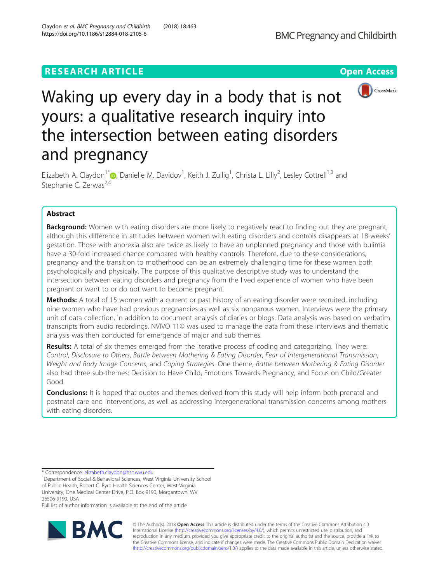## **RESEARCH ARTICLE Example 2014 12:30 The Contract of Contract ACCESS**





# Waking up every day in a body that is not yours: a qualitative research inquiry into the intersection between eating disorders and pregnancy

Elizabeth A. Claydon<sup>1\*</sup> (**p**[,](http://orcid.org/0000-0002-8153-5132) Danielle M. Davidov<sup>1</sup>, Keith J. Zullig<sup>1</sup>, Christa L. Lilly<sup>2</sup>, Lesley Cottrell<sup>1,3</sup> and Stephanie C. Zerwas<sup>2,4</sup>

## Abstract

**Background:** Women with eating disorders are more likely to negatively react to finding out they are pregnant, although this difference in attitudes between women with eating disorders and controls disappears at 18-weeks' gestation. Those with anorexia also are twice as likely to have an unplanned pregnancy and those with bulimia have a 30-fold increased chance compared with healthy controls. Therefore, due to these considerations, pregnancy and the transition to motherhood can be an extremely challenging time for these women both psychologically and physically. The purpose of this qualitative descriptive study was to understand the intersection between eating disorders and pregnancy from the lived experience of women who have been pregnant or want to or do not want to become pregnant.

Methods: A total of 15 women with a current or past history of an eating disorder were recruited, including nine women who have had previous pregnancies as well as six nonparous women. Interviews were the primary unit of data collection, in addition to document analysis of diaries or blogs. Data analysis was based on verbatim transcripts from audio recordings. NVIVO 11© was used to manage the data from these interviews and thematic analysis was then conducted for emergence of major and sub themes.

Results: A total of six themes emerged from the iterative process of coding and categorizing. They were: Control, Disclosure to Others, Battle between Mothering & Eating Disorder, Fear of Intergenerational Transmission, Weight and Body Image Concerns, and Coping Strategies. One theme, Battle between Mothering & Eating Disorder also had three sub-themes: Decision to Have Child, Emotions Towards Pregnancy, and Focus on Child/Greater Good.

**Conclusions:** It is hoped that quotes and themes derived from this study will help inform both prenatal and postnatal care and interventions, as well as addressing intergenerational transmission concerns among mothers with eating disorders.

\* Correspondence: [elizabeth.claydon@hsc.wvu.edu](mailto:elizabeth.claydon@hsc.wvu.edu) <sup>1</sup>

Full list of author information is available at the end of the article



© The Author(s). 2018 Open Access This article is distributed under the terms of the Creative Commons Attribution 4.0 International License [\(http://creativecommons.org/licenses/by/4.0/](http://creativecommons.org/licenses/by/4.0/)), which permits unrestricted use, distribution, and reproduction in any medium, provided you give appropriate credit to the original author(s) and the source, provide a link to the Creative Commons license, and indicate if changes were made. The Creative Commons Public Domain Dedication waiver [\(http://creativecommons.org/publicdomain/zero/1.0/](http://creativecommons.org/publicdomain/zero/1.0/)) applies to the data made available in this article, unless otherwise stated.

<sup>&</sup>lt;sup>1</sup>Department of Social & Behavioral Sciences, West Virginia University School of Public Health, Robert C. Byrd Health Sciences Center, West Virginia University, One Medical Center Drive, P.O. Box 9190, Morgantown, WV 26506-9190, USA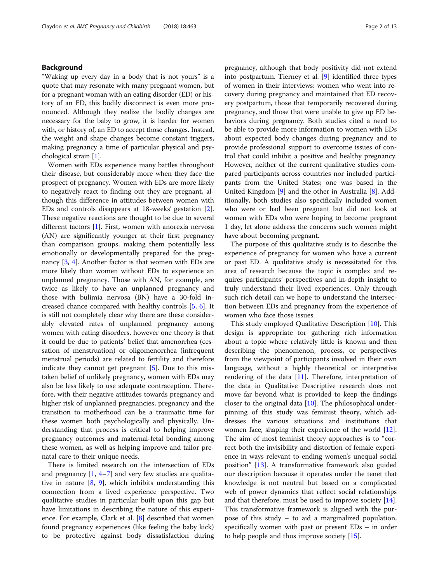## Background

"Waking up every day in a body that is not yours" is a quote that may resonate with many pregnant women, but for a pregnant woman with an eating disorder (ED) or history of an ED, this bodily disconnect is even more pronounced. Although they realize the bodily changes are necessary for the baby to grow, it is harder for women with, or history of, an ED to accept those changes. Instead, the weight and shape changes become constant triggers, making pregnancy a time of particular physical and psychological strain [[1\]](#page-12-0).

Women with EDs experience many battles throughout their disease, but considerably more when they face the prospect of pregnancy. Women with EDs are more likely to negatively react to finding out they are pregnant, although this difference in attitudes between women with EDs and controls disappears at 18-weeks' gestation [\[2](#page-12-0)]. These negative reactions are thought to be due to several different factors [[1\]](#page-12-0). First, women with anorexia nervosa (AN) are significantly younger at their first pregnancy than comparison groups, making them potentially less emotionally or developmentally prepared for the pregnancy [\[3](#page-12-0), [4](#page-12-0)]. Another factor is that women with EDs are more likely than women without EDs to experience an unplanned pregnancy. Those with AN, for example, are twice as likely to have an unplanned pregnancy and those with bulimia nervosa (BN) have a 30-fold increased chance compared with healthy controls [\[5,](#page-12-0) [6](#page-12-0)]. It is still not completely clear why there are these considerably elevated rates of unplanned pregnancy among women with eating disorders, however one theory is that it could be due to patients' belief that amenorrhea (cessation of menstruation) or oligomenorrhea (infrequent menstrual periods) are related to fertility and therefore indicate they cannot get pregnant [[5\]](#page-12-0). Due to this mistaken belief of unlikely pregnancy, women with EDs may also be less likely to use adequate contraception. Therefore, with their negative attitudes towards pregnancy and higher risk of unplanned pregnancies, pregnancy and the transition to motherhood can be a traumatic time for these women both psychologically and physically. Understanding that process is critical to helping improve pregnancy outcomes and maternal-fetal bonding among these women, as well as helping improve and tailor prenatal care to their unique needs.

There is limited research on the intersection of EDs and pregnancy  $[1, 4-7]$  $[1, 4-7]$  $[1, 4-7]$  $[1, 4-7]$  $[1, 4-7]$  $[1, 4-7]$  and very few studies are qualitative in nature [\[8](#page-12-0), [9\]](#page-12-0), which inhibits understanding this connection from a lived experience perspective. Two qualitative studies in particular built upon this gap but have limitations in describing the nature of this experience. For example, Clark et al. [\[8](#page-12-0)] described that women found pregnancy experiences (like feeling the baby kick) to be protective against body dissatisfaction during pregnancy, although that body positivity did not extend into postpartum. Tierney et al. [\[9](#page-12-0)] identified three types of women in their interviews: women who went into recovery during pregnancy and maintained that ED recovery postpartum, those that temporarily recovered during pregnancy, and those that were unable to give up ED behaviors during pregnancy. Both studies cited a need to be able to provide more information to women with EDs about expected body changes during pregnancy and to provide professional support to overcome issues of control that could inhibit a positive and healthy pregnancy. However, neither of the current qualitative studies compared participants across countries nor included participants from the United States; one was based in the United Kingdom [[9\]](#page-12-0) and the other in Australia [\[8](#page-12-0)]. Additionally, both studies also specifically included women who were or had been pregnant but did not look at women with EDs who were hoping to become pregnant 1 day, let alone address the concerns such women might have about becoming pregnant.

The purpose of this qualitative study is to describe the experience of pregnancy for women who have a current or past ED. A qualitative study is necessitated for this area of research because the topic is complex and requires participants' perspectives and in-depth insight to truly understand their lived experiences. Only through such rich detail can we hope to understand the intersection between EDs and pregnancy from the experience of women who face those issues.

This study employed Qualitative Description [\[10](#page-12-0)]. This design is appropriate for gathering rich information about a topic where relatively little is known and then describing the phenomenon, process, or perspectives from the viewpoint of participants involved in their own language, without a highly theoretical or interpretive rendering of the data [\[11](#page-12-0)]. Therefore, interpretation of the data in Qualitative Descriptive research does not move far beyond what is provided to keep the findings closer to the original data  $[10]$  $[10]$  $[10]$ . The philosophical underpinning of this study was feminist theory, which addresses the various situations and institutions that women face, shaping their experience of the world [\[12](#page-12-0)]. The aim of most feminist theory approaches is to "correct both the invisibility and distortion of female experience in ways relevant to ending women's unequal social position" [[13](#page-12-0)]. A transformative framework also guided our description because it operates under the tenet that knowledge is not neutral but based on a complicated web of power dynamics that reflect social relationships and that therefore, must be used to improve society [\[14](#page-12-0)]. This transformative framework is aligned with the purpose of this study – to aid a marginalized population, specifically women with past or present EDs – in order to help people and thus improve society [\[15](#page-12-0)].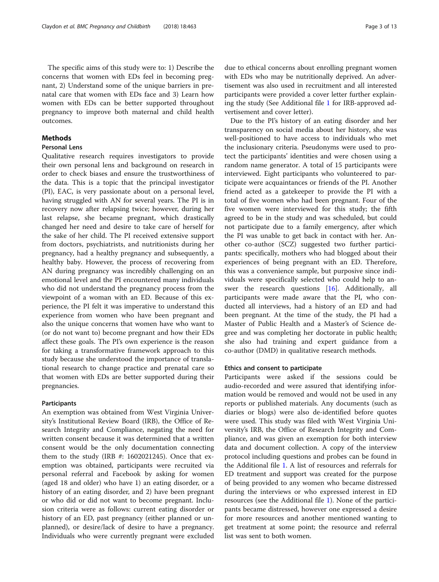The specific aims of this study were to: 1) Describe the concerns that women with EDs feel in becoming pregnant, 2) Understand some of the unique barriers in prenatal care that women with EDs face and 3) Learn how women with EDs can be better supported throughout pregnancy to improve both maternal and child health outcomes.

## **Methods**

## Personal Lens

Qualitative research requires investigators to provide their own personal lens and background on research in order to check biases and ensure the trustworthiness of the data. This is a topic that the principal investigator (PI), EAC, is very passionate about on a personal level, having struggled with AN for several years. The PI is in recovery now after relapsing twice; however, during her last relapse, she became pregnant, which drastically changed her need and desire to take care of herself for the sake of her child. The PI received extensive support from doctors, psychiatrists, and nutritionists during her pregnancy, had a healthy pregnancy and subsequently, a healthy baby. However, the process of recovering from AN during pregnancy was incredibly challenging on an emotional level and the PI encountered many individuals who did not understand the pregnancy process from the viewpoint of a woman with an ED. Because of this experience, the PI felt it was imperative to understand this experience from women who have been pregnant and also the unique concerns that women have who want to (or do not want to) become pregnant and how their EDs affect these goals. The PI's own experience is the reason for taking a transformative framework approach to this study because she understood the importance of translational research to change practice and prenatal care so that women with EDs are better supported during their pregnancies.

## Participants

An exemption was obtained from West Virginia University's Institutional Review Board (IRB), the Office of Research Integrity and Compliance, negating the need for written consent because it was determined that a written consent would be the only documentation connecting them to the study (IRB #: 1602021245). Once that exemption was obtained, participants were recruited via personal referral and Facebook by asking for women (aged 18 and older) who have 1) an eating disorder, or a history of an eating disorder, and 2) have been pregnant or who did or did not want to become pregnant. Inclusion criteria were as follows: current eating disorder or history of an ED, past pregnancy (either planned or unplanned), or desire/lack of desire to have a pregnancy. Individuals who were currently pregnant were excluded

due to ethical concerns about enrolling pregnant women with EDs who may be nutritionally deprived. An advertisement was also used in recruitment and all interested participants were provided a cover letter further explaining the study (See Additional file [1](#page-11-0) for IRB-approved advertisement and cover letter).

Due to the PI's history of an eating disorder and her transparency on social media about her history, she was well-positioned to have access to individuals who met the inclusionary criteria. Pseudonyms were used to protect the participants' identities and were chosen using a random name generator. A total of 15 participants were interviewed. Eight participants who volunteered to participate were acquaintances or friends of the PI. Another friend acted as a gatekeeper to provide the PI with a total of five women who had been pregnant. Four of the five women were interviewed for this study; the fifth agreed to be in the study and was scheduled, but could not participate due to a family emergency, after which the PI was unable to get back in contact with her. Another co-author (SCZ) suggested two further participants: specifically, mothers who had blogged about their experiences of being pregnant with an ED. Therefore, this was a convenience sample, but purposive since individuals were specifically selected who could help to an-swer the research questions [\[16](#page-12-0)]. Additionally, all participants were made aware that the PI, who conducted all interviews, had a history of an ED and had been pregnant. At the time of the study, the PI had a Master of Public Health and a Master's of Science degree and was completing her doctorate in public health; she also had training and expert guidance from a co-author (DMD) in qualitative research methods.

#### Ethics and consent to participate

Participants were asked if the sessions could be audio-recorded and were assured that identifying information would be removed and would not be used in any reports or published materials. Any documents (such as diaries or blogs) were also de-identified before quotes were used. This study was filed with West Virginia University's IRB, the Office of Research Integrity and Compliance, and was given an exemption for both interview data and document collection. A copy of the interview protocol including questions and probes can be found in the Additional file [1.](#page-11-0) A list of resources and referrals for ED treatment and support was created for the purpose of being provided to any women who became distressed during the interviews or who expressed interest in ED resources (see the Additional file [1\)](#page-11-0). None of the participants became distressed, however one expressed a desire for more resources and another mentioned wanting to get treatment at some point; the resource and referral list was sent to both women.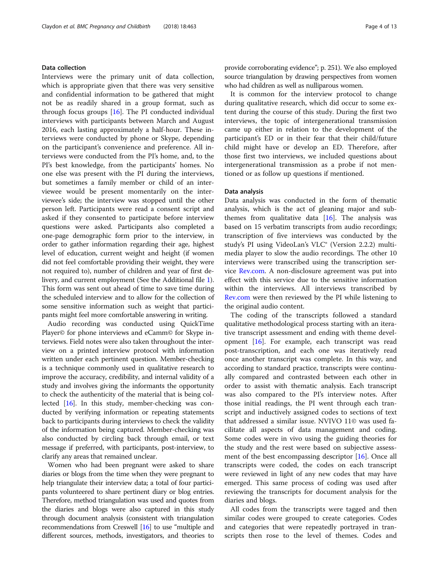## Data collection

Interviews were the primary unit of data collection, which is appropriate given that there was very sensitive and confidential information to be gathered that might not be as readily shared in a group format, such as through focus groups [[16\]](#page-12-0). The PI conducted individual interviews with participants between March and August 2016, each lasting approximately a half-hour. These interviews were conducted by phone or Skype, depending on the participant's convenience and preference. All interviews were conducted from the PI's home, and, to the PI's best knowledge, from the participants' homes. No one else was present with the PI during the interviews, but sometimes a family member or child of an interviewee would be present momentarily on the interviewee's side; the interview was stopped until the other person left. Participants were read a consent script and asked if they consented to participate before interview questions were asked. Participants also completed a one-page demographic form prior to the interview, in order to gather information regarding their age, highest level of education, current weight and height (if women did not feel comfortable providing their weight, they were not required to), number of children and year of first delivery, and current employment (See the Additional file [1](#page-11-0)). This form was sent out ahead of time to save time during the scheduled interview and to allow for the collection of some sensitive information such as weight that participants might feel more comfortable answering in writing.

Audio recording was conducted using QuickTime Player© for phone interviews and eCamm© for Skype interviews. Field notes were also taken throughout the interview on a printed interview protocol with information written under each pertinent question. Member-checking is a technique commonly used in qualitative research to improve the accuracy, credibility, and internal validity of a study and involves giving the informants the opportunity to check the authenticity of the material that is being collected [\[16\]](#page-12-0). In this study, member-checking was conducted by verifying information or repeating statements back to participants during interviews to check the validity of the information being captured. Member-checking was also conducted by circling back through email, or text message if preferred, with participants, post-interview, to clarify any areas that remained unclear.

Women who had been pregnant were asked to share diaries or blogs from the time when they were pregnant to help triangulate their interview data; a total of four participants volunteered to share pertinent diary or blog entries. Therefore, method triangulation was used and quotes from the diaries and blogs were also captured in this study through document analysis (consistent with triangulation recommendations from Creswell [\[16\]](#page-12-0) to use "multiple and different sources, methods, investigators, and theories to provide corroborating evidence"; p. 251). We also employed source triangulation by drawing perspectives from women who had children as well as nulliparous women.

It is common for the interview protocol to change during qualitative research, which did occur to some extent during the course of this study. During the first two interviews, the topic of intergenerational transmission came up either in relation to the development of the participant's ED or in their fear that their child/future child might have or develop an ED. Therefore, after those first two interviews, we included questions about intergenerational transmission as a probe if not mentioned or as follow up questions if mentioned.

## Data analysis

Data analysis was conducted in the form of thematic analysis, which is the act of gleaning major and subthemes from qualitative data  $[16]$  $[16]$ . The analysis was based on 15 verbatim transcripts from audio recordings; transcription of five interviews was conducted by the study's PI using VideoLan's VLC® (Version 2.2.2) multimedia player to slow the audio recordings. The other 10 interviews were transcribed using the transcription service [Rev.com](http://rev.com). A non-disclosure agreement was put into effect with this service due to the sensitive information within the interviews. All interviews transcribed by [Rev.com](http://rev.com) were then reviewed by the PI while listening to the original audio content.

The coding of the transcripts followed a standard qualitative methodological process starting with an iterative transcript assessment and ending with theme development [[16](#page-12-0)]. For example, each transcript was read post-transcription, and each one was iteratively read once another transcript was complete. In this way, and according to standard practice, transcripts were continually compared and contrasted between each other in order to assist with thematic analysis. Each transcript was also compared to the PI's interview notes. After those initial readings, the PI went through each transcript and inductively assigned codes to sections of text that addressed a similar issue. NVIVO 11© was used facilitate all aspects of data management and coding. Some codes were in vivo using the guiding theories for the study and the rest were based on subjective assessment of the best encompassing descriptor [\[16](#page-12-0)]. Once all transcripts were coded, the codes on each transcript were reviewed in light of any new codes that may have emerged. This same process of coding was used after reviewing the transcripts for document analysis for the diaries and blogs.

All codes from the transcripts were tagged and then similar codes were grouped to create categories. Codes and categories that were repeatedly portrayed in transcripts then rose to the level of themes. Codes and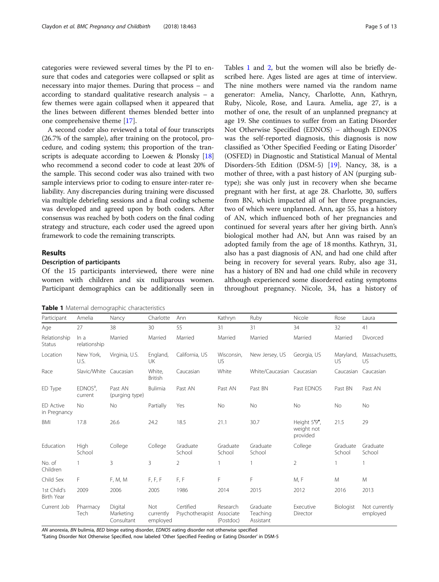categories were reviewed several times by the PI to ensure that codes and categories were collapsed or split as necessary into major themes. During that process – and according to standard qualitative research analysis – a few themes were again collapsed when it appeared that the lines between different themes blended better into one comprehensive theme [[17](#page-12-0)].

A second coder also reviewed a total of four transcripts (26.7% of the sample), after training on the protocol, procedure, and coding system; this proportion of the transcripts is adequate according to Loewen & Plonsky [[18](#page-12-0)] who recommend a second coder to code at least 20% of the sample. This second coder was also trained with two sample interviews prior to coding to ensure inter-rater reliability. Any discrepancies during training were discussed via multiple debriefing sessions and a final coding scheme was developed and agreed upon by both coders. After consensus was reached by both coders on the final coding strategy and structure, each coder used the agreed upon framework to code the remaining transcripts.

## Results

#### Description of participants

Of the 15 participants interviewed, there were nine women with children and six nulliparous women. Participant demographics can be additionally seen in

Table 1 Maternal demographic characteristics

Tables 1 and [2,](#page-5-0) but the women will also be briefly described here. Ages listed are ages at time of interview. The nine mothers were named via the random name generator: Amelia, Nancy, Charlotte, Ann, Kathryn, Ruby, Nicole, Rose, and Laura. Amelia, age 27, is a mother of one, the result of an unplanned pregnancy at age 19. She continues to suffer from an Eating Disorder Not Otherwise Specified (EDNOS) – although EDNOS was the self-reported diagnosis, this diagnosis is now classified as 'Other Specified Feeding or Eating Disorder' (OSFED) in Diagnostic and Statistical Manual of Mental Disorders-5th Edition (DSM-5) [\[19\]](#page-12-0). Nancy, 38, is a mother of three, with a past history of AN (purging subtype); she was only just in recovery when she became pregnant with her first, at age 28. Charlotte, 30, suffers from BN, which impacted all of her three pregnancies, two of which were unplanned. Ann, age 55, has a history of AN, which influenced both of her pregnancies and continued for several years after her giving birth. Ann's biological mother had AN, but Ann was raised by an adopted family from the age of 18 months. Kathryn, 31, also has a past diagnosis of AN, and had one child after being in recovery for several years. Ruby, also age 31, has a history of BN and had one child while in recovery although experienced some disordered eating symptoms throughout pregnancy. Nicole, 34, has a history of

| Participant                      | Amelia                          | Nancy                              | Charlotte                    | Ann                                    | Kathryn               | Ruby                              | Nicole                                 | Rose               | Laura                     |
|----------------------------------|---------------------------------|------------------------------------|------------------------------|----------------------------------------|-----------------------|-----------------------------------|----------------------------------------|--------------------|---------------------------|
| Age                              | 27                              | 38                                 | 30                           | 55                                     | 31                    | 31                                | 34                                     | 32                 | 41                        |
| Relationship<br>Status           | In a<br>relationship            | Married                            | Married                      | Married                                | Married               | Married                           | Married                                | Married            | Divorced                  |
| Location                         | New York,<br>U.S.               | Virginia, U.S.                     | England,<br>UK               | California, US                         | Wisconsin.<br>US      | New Jersey, US                    | Georgia, US                            | Maryland,<br>US    | Massachusetts,<br>US      |
| Race                             | Slavic/White                    | Caucasian                          | White.<br><b>British</b>     | Caucasian                              | White                 | White/Caucasian Caucasian         |                                        | Caucasian          | Caucasian                 |
| ED Type                          | EDNOS <sup>a</sup> ,<br>current | Past AN<br>(purging type)          | Bulimia                      | Past AN                                | Past AN               | Past BN                           | Past EDNOS                             | Past BN            | Past AN                   |
| <b>ED Active</b><br>in Pregnancy | <b>No</b>                       | <b>No</b>                          | Partially                    | Yes                                    | <b>No</b>             | <b>No</b>                         | <b>No</b>                              | <b>No</b>          | <b>No</b>                 |
| <b>BMI</b>                       | 17.8                            | 26.6                               | 24.2                         | 18.5                                   | 21.1                  | 30.7                              | Height 5'9",<br>weight not<br>provided | 21.5               | 29                        |
| Education                        | High<br>School                  | College                            | College                      | Graduate<br>School                     | Graduate<br>School    | Graduate<br>School                | College                                | Graduate<br>School | Graduate<br>School        |
| No. of<br>Children               |                                 | 3                                  | 3                            | 2                                      |                       |                                   | $\overline{2}$                         |                    | 1                         |
| Child Sex                        | F                               | F, M, M                            | F, F, F                      | F, F                                   | F                     | F                                 | M, F                                   | M                  | M                         |
| 1st Child's<br><b>Birth Year</b> | 2009                            | 2006                               | 2005                         | 1986                                   | 2014                  | 2015                              | 2012                                   | 2016               | 2013                      |
| Current Job                      | Pharmacy<br>Tech                | Digital<br>Marketing<br>Consultant | Not<br>currently<br>employed | Certified<br>Psychotherapist Associate | Research<br>(Postdoc) | Graduate<br>Teaching<br>Assistant | Executive<br>Director                  | Biologist          | Not currently<br>employed |

AN anorexia, BN bulimia, BED binge eating disorder, EDNOS eating disorder not otherwise specified

<sup>a</sup>Eating Disorder Not Otherwise Specified, now labeled 'Other Specified Feeding or Eating Disorder' in DSM-5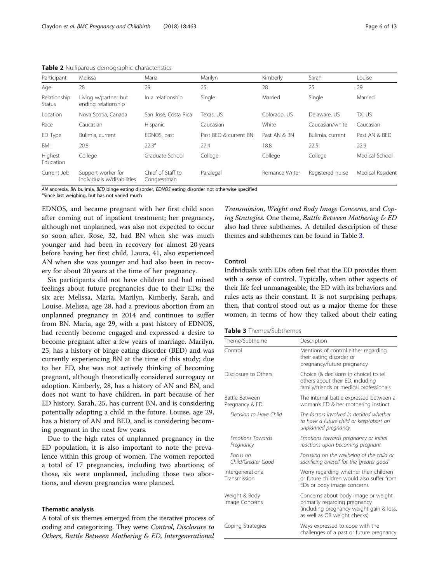<span id="page-5-0"></span>Table 2 Nulliparous demographic characteristics

| Participant                   | Melissa                                          | Maria                            | Marilyn               | Kimberly       | Sarah            | Louise           |
|-------------------------------|--------------------------------------------------|----------------------------------|-----------------------|----------------|------------------|------------------|
| Age                           | 28                                               | 29                               | 25                    | 28             | 25               | 29               |
| Relationship<br><b>Status</b> | Living w/partner but<br>ending relationship      | In a relationship                | Single                | Married        | Single           | Married          |
| Location                      | Nova Scotia, Canada                              | San José, Costa Rica             | Texas, US             | Colorado, US   | Delaware, US     | TX, US           |
| Race                          | Caucasian                                        | Hispanic                         | Caucasian             | White          | Caucasian/white  | Caucasian        |
| ED Type                       | Bulimia, current                                 | EDNOS, past                      | Past BED & current BN | Past AN & BN   | Bulimia, current | Past AN & BED    |
| <b>BMI</b>                    | 20.8                                             | 22.3 <sup>a</sup>                | 27.4                  | 18.8           | 22.5             | 22.9             |
| Highest<br>Education          | College                                          | Graduate School                  | College               | College        | College          | Medical School   |
| Current Job                   | Support worker for<br>individuals w/disabilities | Chief of Staff to<br>Congressman | Paralegal             | Romance Writer | Registered nurse | Medical Resident |

AN anorexia, BN bulimia, BED binge eating disorder, EDNOS eating disorder not otherwise specified

<sup>a</sup>Since last weighing, but has not varied much

EDNOS, and became pregnant with her first child soon after coming out of inpatient treatment; her pregnancy, although not unplanned, was also not expected to occur so soon after. Rose, 32, had BN when she was much younger and had been in recovery for almost 20 years before having her first child. Laura, 41, also experienced AN when she was younger and had also been in recovery for about 20 years at the time of her pregnancy.

Six participants did not have children and had mixed feelings about future pregnancies due to their EDs; the six are: Melissa, Maria, Marilyn, Kimberly, Sarah, and Louise. Melissa, age 28, had a previous abortion from an unplanned pregnancy in 2014 and continues to suffer from BN. Maria, age 29, with a past history of EDNOS, had recently become engaged and expressed a desire to become pregnant after a few years of marriage. Marilyn, 25, has a history of binge eating disorder (BED) and was currently experiencing BN at the time of this study; due to her ED, she was not actively thinking of becoming pregnant, although theoretically considered surrogacy or adoption. Kimberly, 28, has a history of AN and BN, and does not want to have children, in part because of her ED history. Sarah, 25, has current BN, and is considering potentially adopting a child in the future. Louise, age 29, has a history of AN and BED, and is considering becoming pregnant in the next few years.

Due to the high rates of unplanned pregnancy in the ED population, it is also important to note the prevalence within this group of women. The women reported a total of 17 pregnancies, including two abortions; of those, six were unplanned, including those two abortions, and eleven pregnancies were planned.

#### Thematic analysis

A total of six themes emerged from the iterative process of coding and categorizing. They were: Control, Disclosure to Others, Battle Between Mothering & ED, Intergenerational

Transmission, Weight and Body Image Concerns, and Coping Strategies. One theme, Battle Between Mothering  $\&$  ED also had three subthemes. A detailed description of these themes and subthemes can be found in Table 3.

#### Control

Individuals with EDs often feel that the ED provides them with a sense of control. Typically, when other aspects of their life feel unmanageable, the ED with its behaviors and rules acts as their constant. It is not surprising perhaps, then, that control stood out as a major theme for these women, in terms of how they talked about their eating

|  | Table 3 Themes/Subthemes |
|--|--------------------------|
|  |                          |

| Theme/Subtheme                       | Description                                                                                                                                      |  |  |
|--------------------------------------|--------------------------------------------------------------------------------------------------------------------------------------------------|--|--|
| Control                              | Mentions of control either regarding<br>their eating disorder or<br>pregnancy/future pregnancy                                                   |  |  |
| Disclosure to Others                 | Choice (& decisions in choice) to tell<br>others about their ED, including<br>family/friends or medical professionals                            |  |  |
| Battle Between<br>Pregnancy & ED     | The internal battle expressed between a<br>woman's ED & her mothering instinct                                                                   |  |  |
| Decision to Have Child               | The factors involved in decided whether<br>to have a future child or keep/abort an<br>unplanned pregnancy                                        |  |  |
| <b>Emotions Towards</b><br>Pregnancy | Emotions towards pregnancy or initial<br>reactions upon becoming pregnant                                                                        |  |  |
| Focus on<br>Child/Greater Good       | Focusing on the wellbeing of the child or<br>sacrificing oneself for the 'greater good'                                                          |  |  |
| Intergenerational<br>Transmission    | Worry regarding whether their children<br>or future children would also suffer from<br>EDs or body image concerns                                |  |  |
| Weight & Body<br>Image Concerns      | Concerns about body image or weight<br>primarily regarding pregnancy<br>(including pregnancy weight gain & loss,<br>as well as OB weight checks) |  |  |
| Coping Strategies                    | Ways expressed to cope with the<br>challenges of a past or future pregnancy                                                                      |  |  |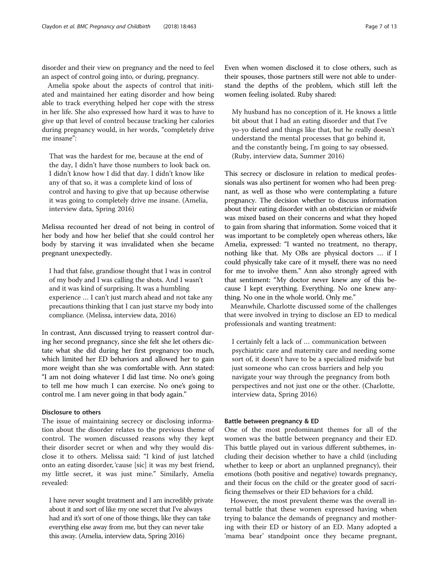disorder and their view on pregnancy and the need to feel an aspect of control going into, or during, pregnancy.

Amelia spoke about the aspects of control that initiated and maintained her eating disorder and how being able to track everything helped her cope with the stress in her life. She also expressed how hard it was to have to give up that level of control because tracking her calories during pregnancy would, in her words, "completely drive me insane":

That was the hardest for me, because at the end of the day, I didn't have those numbers to look back on. I didn't know how I did that day. I didn't know like any of that so, it was a complete kind of loss of control and having to give that up because otherwise it was going to completely drive me insane. (Amelia, interview data, Spring 2016)

Melissa recounted her dread of not being in control of her body and how her belief that she could control her body by starving it was invalidated when she became pregnant unexpectedly.

I had that false, grandiose thought that I was in control of my body and I was calling the shots. And I wasn't and it was kind of surprising. It was a humbling experience … I can't just march ahead and not take any precautions thinking that I can just starve my body into compliance. (Melissa, interview data, 2016)

In contrast, Ann discussed trying to reassert control during her second pregnancy, since she felt she let others dictate what she did during her first pregnancy too much, which limited her ED behaviors and allowed her to gain more weight than she was comfortable with. Ann stated: "I am not doing whatever I did last time. No one's going to tell me how much I can exercise. No one's going to control me. I am never going in that body again."

## Disclosure to others

The issue of maintaining secrecy or disclosing information about the disorder relates to the previous theme of control. The women discussed reasons why they kept their disorder secret or when and why they would disclose it to others. Melissa said: "I kind of just latched onto an eating disorder, 'cause [sic] it was my best friend, my little secret, it was just mine." Similarly, Amelia revealed:

I have never sought treatment and I am incredibly private about it and sort of like my one secret that I've always had and it's sort of one of those things, like they can take everything else away from me, but they can never take this away. (Amelia, interview data, Spring 2016)

Even when women disclosed it to close others, such as their spouses, those partners still were not able to understand the depths of the problem, which still left the women feeling isolated. Ruby shared:

My husband has no conception of it. He knows a little bit about that I had an eating disorder and that I've yo-yo dieted and things like that, but he really doesn't understand the mental processes that go behind it, and the constantly being, I'm going to say obsessed. (Ruby, interview data, Summer 2016)

This secrecy or disclosure in relation to medical professionals was also pertinent for women who had been pregnant, as well as those who were contemplating a future pregnancy. The decision whether to discuss information about their eating disorder with an obstetrician or midwife was mixed based on their concerns and what they hoped to gain from sharing that information. Some voiced that it was important to be completely open whereas others, like Amelia, expressed: "I wanted no treatment, no therapy, nothing like that. My OBs are physical doctors … if I could physically take care of it myself, there was no need for me to involve them." Ann also strongly agreed with that sentiment: "My doctor never knew any of this because I kept everything. Everything. No one knew anything. No one in the whole world. Only me."

Meanwhile, Charlotte discussed some of the challenges that were involved in trying to disclose an ED to medical professionals and wanting treatment:

I certainly felt a lack of … communication between psychiatric care and maternity care and needing some sort of, it doesn't have to be a specialized midwife but just someone who can cross barriers and help you navigate your way through the pregnancy from both perspectives and not just one or the other. (Charlotte, interview data, Spring 2016)

### Battle between pregnancy & ED

One of the most predominant themes for all of the women was the battle between pregnancy and their ED. This battle played out in various different subthemes, including their decision whether to have a child (including whether to keep or abort an unplanned pregnancy), their emotions (both positive and negative) towards pregnancy, and their focus on the child or the greater good of sacrificing themselves or their ED behaviors for a child.

However, the most prevalent theme was the overall internal battle that these women expressed having when trying to balance the demands of pregnancy and mothering with their ED or history of an ED. Many adopted a 'mama bear' standpoint once they became pregnant,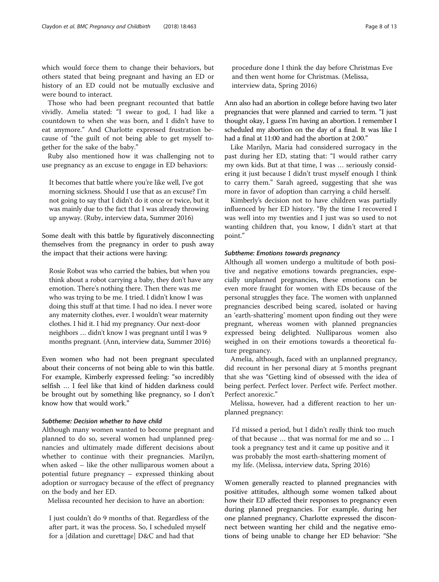which would force them to change their behaviors, but others stated that being pregnant and having an ED or history of an ED could not be mutually exclusive and were bound to interact.

Those who had been pregnant recounted that battle vividly. Amelia stated: "I swear to god, I had like a countdown to when she was born, and I didn't have to eat anymore." And Charlotte expressed frustration because of "the guilt of not being able to get myself together for the sake of the baby."

Ruby also mentioned how it was challenging not to use pregnancy as an excuse to engage in ED behaviors:

It becomes that battle where you're like well, I've got morning sickness. Should I use that as an excuse? I'm not going to say that I didn't do it once or twice, but it was mainly due to the fact that I was already throwing up anyway. (Ruby, interview data, Summer 2016)

Some dealt with this battle by figuratively disconnecting themselves from the pregnancy in order to push away the impact that their actions were having:

Rosie Robot was who carried the babies, but when you think about a robot carrying a baby, they don't have any emotion. There's nothing there. Then there was me who was trying to be me. I tried. I didn't know I was doing this stuff at that time. I had no idea. I never wore any maternity clothes, ever. I wouldn't wear maternity clothes. I hid it. I hid my pregnancy. Our next-door neighbors … didn't know I was pregnant until I was 9 months pregnant. (Ann, interview data, Summer 2016)

Even women who had not been pregnant speculated about their concerns of not being able to win this battle. For example, Kimberly expressed feeling: "so incredibly selfish … I feel like that kind of hidden darkness could be brought out by something like pregnancy, so I don't know how that would work."

## Subtheme: Decision whether to have child

Although many women wanted to become pregnant and planned to do so, several women had unplanned pregnancies and ultimately made different decisions about whether to continue with their pregnancies. Marilyn, when asked – like the other nulliparous women about a potential future pregnancy – expressed thinking about adoption or surrogacy because of the effect of pregnancy on the body and her ED.

Melissa recounted her decision to have an abortion:

I just couldn't do 9 months of that. Regardless of the after part, it was the process. So, I scheduled myself for a [dilation and curettage] D&C and had that

procedure done I think the day before Christmas Eve and then went home for Christmas. (Melissa, interview data, Spring 2016)

Ann also had an abortion in college before having two later pregnancies that were planned and carried to term. "I just thought okay, I guess I'm having an abortion. I remember I scheduled my abortion on the day of a final. It was like I had a final at 11:00 and had the abortion at 2:00."

Like Marilyn, Maria had considered surrogacy in the past during her ED, stating that: "I would rather carry my own kids. But at that time, I was … seriously considering it just because I didn't trust myself enough I think to carry them." Sarah agreed, suggesting that she was more in favor of adoption than carrying a child herself.

Kimberly's decision not to have children was partially influenced by her ED history. "By the time I recovered I was well into my twenties and I just was so used to not wanting children that, you know, I didn't start at that point."

## Subtheme: Emotions towards pregnancy

Although all women undergo a multitude of both positive and negative emotions towards pregnancies, especially unplanned pregnancies, these emotions can be even more fraught for women with EDs because of the personal struggles they face. The women with unplanned pregnancies described being scared, isolated or having an 'earth-shattering' moment upon finding out they were pregnant, whereas women with planned pregnancies expressed being delighted. Nulliparous women also weighed in on their emotions towards a theoretical future pregnancy.

Amelia, although, faced with an unplanned pregnancy, did recount in her personal diary at 5 months pregnant that she was "Getting kind of obsessed with the idea of being perfect. Perfect lover. Perfect wife. Perfect mother. Perfect anorexic."

Melissa, however, had a different reaction to her unplanned pregnancy:

I'd missed a period, but I didn't really think too much of that because … that was normal for me and so … I took a pregnancy test and it came up positive and it was probably the most earth-shattering moment of my life. (Melissa, interview data, Spring 2016)

Women generally reacted to planned pregnancies with positive attitudes, although some women talked about how their ED affected their responses to pregnancy even during planned pregnancies. For example, during her one planned pregnancy, Charlotte expressed the disconnect between wanting her child and the negative emotions of being unable to change her ED behavior: "She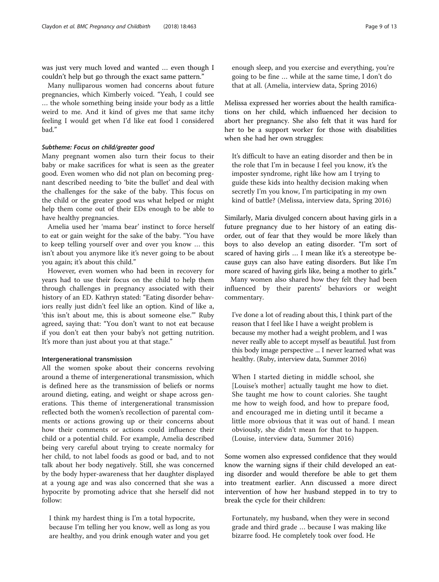was just very much loved and wanted … even though I couldn't help but go through the exact same pattern."

Many nulliparous women had concerns about future pregnancies, which Kimberly voiced. "Yeah, I could see … the whole something being inside your body as a little weird to me. And it kind of gives me that same itchy feeling I would get when I'd like eat food I considered bad."

## Subtheme: Focus on child/greater good

Many pregnant women also turn their focus to their baby or make sacrifices for what is seen as the greater good. Even women who did not plan on becoming pregnant described needing to 'bite the bullet' and deal with the challenges for the sake of the baby. This focus on the child or the greater good was what helped or might help them come out of their EDs enough to be able to have healthy pregnancies.

Amelia used her 'mama bear' instinct to force herself to eat or gain weight for the sake of the baby. "You have to keep telling yourself over and over you know … this isn't about you anymore like it's never going to be about you again; it's about this child."

However, even women who had been in recovery for years had to use their focus on the child to help them through challenges in pregnancy associated with their history of an ED. Kathryn stated: "Eating disorder behaviors really just didn't feel like an option. Kind of like a, 'this isn't about me, this is about someone else.'" Ruby agreed, saying that: "You don't want to not eat because if you don't eat then your baby's not getting nutrition. It's more than just about you at that stage."

#### Intergenerational transmission

All the women spoke about their concerns revolving around a theme of intergenerational transmission, which is defined here as the transmission of beliefs or norms around dieting, eating, and weight or shape across generations. This theme of intergenerational transmission reflected both the women's recollection of parental comments or actions growing up or their concerns about how their comments or actions could influence their child or a potential child. For example, Amelia described being very careful about trying to create normalcy for her child, to not label foods as good or bad, and to not talk about her body negatively. Still, she was concerned by the body hyper-awareness that her daughter displayed at a young age and was also concerned that she was a hypocrite by promoting advice that she herself did not follow:

I think my hardest thing is I'm a total hypocrite, because I'm telling her you know, well as long as you are healthy, and you drink enough water and you get enough sleep, and you exercise and everything, you're going to be fine … while at the same time, I don't do that at all. (Amelia, interview data, Spring 2016)

Melissa expressed her worries about the health ramifications on her child, which influenced her decision to abort her pregnancy. She also felt that it was hard for her to be a support worker for those with disabilities when she had her own struggles:

It's difficult to have an eating disorder and then be in the role that I'm in because I feel you know, it's the imposter syndrome, right like how am I trying to guide these kids into healthy decision making when secretly I'm you know, I'm participating in my own kind of battle? (Melissa, interview data, Spring 2016)

Similarly, Maria divulged concern about having girls in a future pregnancy due to her history of an eating disorder, out of fear that they would be more likely than boys to also develop an eating disorder. "I'm sort of scared of having girls … I mean like it's a stereotype because guys can also have eating disorders. But like I'm more scared of having girls like, being a mother to girls."

Many women also shared how they felt they had been influenced by their parents' behaviors or weight commentary.

I've done a lot of reading about this, I think part of the reason that I feel like I have a weight problem is because my mother had a weight problem, and I was never really able to accept myself as beautiful. Just from this body image perspective ... I never learned what was healthy. (Ruby, interview data, Summer 2016)

When I started dieting in middle school, she [Louise's mother] actually taught me how to diet. She taught me how to count calories. She taught me how to weigh food, and how to prepare food, and encouraged me in dieting until it became a little more obvious that it was out of hand. I mean obviously, she didn't mean for that to happen. (Louise, interview data, Summer 2016)

Some women also expressed confidence that they would know the warning signs if their child developed an eating disorder and would therefore be able to get them into treatment earlier. Ann discussed a more direct intervention of how her husband stepped in to try to break the cycle for their children:

Fortunately, my husband, when they were in second grade and third grade … because I was making like bizarre food. He completely took over food. He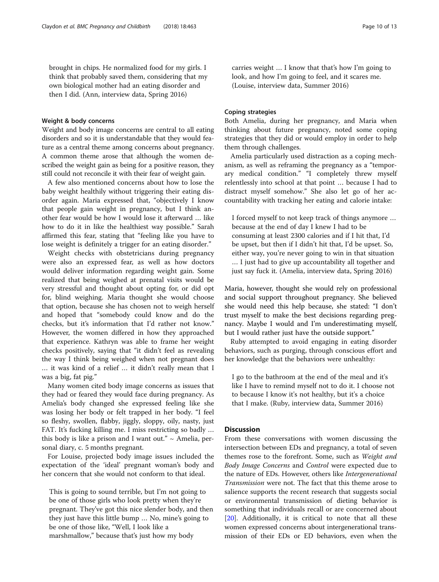brought in chips. He normalized food for my girls. I think that probably saved them, considering that my own biological mother had an eating disorder and then I did. (Ann, interview data, Spring 2016)

#### Weight & body concerns

Weight and body image concerns are central to all eating disorders and so it is understandable that they would feature as a central theme among concerns about pregnancy. A common theme arose that although the women described the weight gain as being for a positive reason, they still could not reconcile it with their fear of weight gain.

A few also mentioned concerns about how to lose the baby weight healthily without triggering their eating disorder again. Maria expressed that, "objectively I know that people gain weight in pregnancy, but I think another fear would be how I would lose it afterward … like how to do it in like the healthiest way possible." Sarah affirmed this fear, stating that "feeling like you have to lose weight is definitely a trigger for an eating disorder."

Weight checks with obstetricians during pregnancy were also an expressed fear, as well as how doctors would deliver information regarding weight gain. Some realized that being weighed at prenatal visits would be very stressful and thought about opting for, or did opt for, blind weighing. Maria thought she would choose that option, because she has chosen not to weigh herself and hoped that "somebody could know and do the checks, but it's information that I'd rather not know." However, the women differed in how they approached that experience. Kathryn was able to frame her weight checks positively, saying that "it didn't feel as revealing the way I think being weighed when not pregnant does … it was kind of a relief … it didn't really mean that I was a big, fat pig."

Many women cited body image concerns as issues that they had or feared they would face during pregnancy. As Amelia's body changed she expressed feeling like she was losing her body or felt trapped in her body. "I feel so fleshy, swollen, flabby, jiggly, sloppy, oily, nasty, just FAT. It's fucking killing me. I miss restricting so badly … this body is like a prison and I want out."  $\sim$  Amelia, personal diary, c. 5 months pregnant.

For Louise, projected body image issues included the expectation of the 'ideal' pregnant woman's body and her concern that she would not conform to that ideal.

This is going to sound terrible, but I'm not going to be one of those girls who look pretty when they're pregnant. They've got this nice slender body, and then they just have this little bump … No, mine's going to be one of those like, "Well, I look like a marshmallow," because that's just how my body

carries weight … I know that that's how I'm going to look, and how I'm going to feel, and it scares me. (Louise, interview data, Summer 2016)

### Coping strategies

Both Amelia, during her pregnancy, and Maria when thinking about future pregnancy, noted some coping strategies that they did or would employ in order to help them through challenges.

Amelia particularly used distraction as a coping mechanism, as well as reframing the pregnancy as a "temporary medical condition." "I completely threw myself relentlessly into school at that point … because I had to distract myself somehow." She also let go of her accountability with tracking her eating and calorie intake:

I forced myself to not keep track of things anymore … because at the end of day I knew I had to be consuming at least 2300 calories and if I hit that, I'd be upset, but then if I didn't hit that, I'd be upset. So, either way, you're never going to win in that situation … I just had to give up accountability all together and just say fuck it. (Amelia, interview data, Spring 2016)

Maria, however, thought she would rely on professional and social support throughout pregnancy. She believed she would need this help because, she stated: "I don't trust myself to make the best decisions regarding pregnancy. Maybe I would and I'm underestimating myself, but I would rather just have the outside support."

Ruby attempted to avoid engaging in eating disorder behaviors, such as purging, through conscious effort and her knowledge that the behaviors were unhealthy:

I go to the bathroom at the end of the meal and it's like I have to remind myself not to do it. I choose not to because I know it's not healthy, but it's a choice that I make. (Ruby, interview data, Summer 2016)

## **Discussion**

From these conversations with women discussing the intersection between EDs and pregnancy, a total of seven themes rose to the forefront. Some, such as Weight and Body Image Concerns and Control were expected due to the nature of EDs. However, others like Intergenerational Transmission were not. The fact that this theme arose to salience supports the recent research that suggests social or environmental transmission of dieting behavior is something that individuals recall or are concerned about [[20\]](#page-12-0). Additionally, it is critical to note that all these women expressed concerns about intergenerational transmission of their EDs or ED behaviors, even when the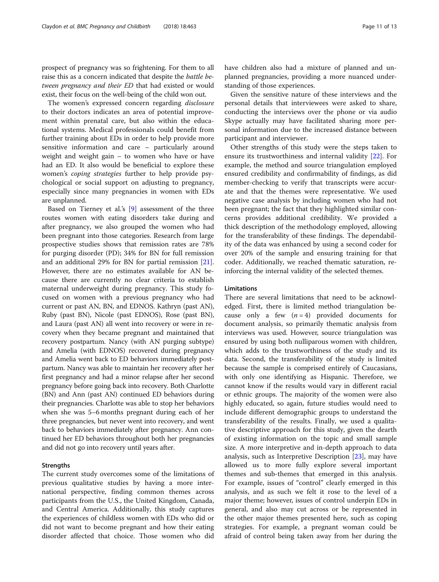prospect of pregnancy was so frightening. For them to all raise this as a concern indicated that despite the battle between pregnancy and their ED that had existed or would exist, their focus on the well-being of the child won out.

The women's expressed concern regarding disclosure to their doctors indicates an area of potential improvement within prenatal care, but also within the educational systems. Medical professionals could benefit from further training about EDs in order to help provide more sensitive information and care – particularly around weight and weight gain – to women who have or have had an ED. It also would be beneficial to explore these women's coping strategies further to help provide psychological or social support on adjusting to pregnancy, especially since many pregnancies in women with EDs are unplanned.

Based on Tierney et al.'s [[9\]](#page-12-0) assessment of the three routes women with eating disorders take during and after pregnancy, we also grouped the women who had been pregnant into those categories. Research from large prospective studies shows that remission rates are 78% for purging disorder (PD); 34% for BN for full remission and an additional 29% for BN for partial remission [\[21](#page-12-0)]. However, there are no estimates available for AN because there are currently no clear criteria to establish maternal underweight during pregnancy. This study focused on women with a previous pregnancy who had current or past AN, BN, and EDNOS. Kathryn (past AN), Ruby (past BN), Nicole (past EDNOS), Rose (past BN), and Laura (past AN) all went into recovery or were in recovery when they became pregnant and maintained that recovery postpartum. Nancy (with AN purging subtype) and Amelia (with EDNOS) recovered during pregnancy and Amelia went back to ED behaviors immediately postpartum. Nancy was able to maintain her recovery after her first pregnancy and had a minor relapse after her second pregnancy before going back into recovery. Both Charlotte (BN) and Ann (past AN) continued ED behaviors during their pregnancies. Charlotte was able to stop her behaviors when she was 5–6 months pregnant during each of her three pregnancies, but never went into recovery, and went back to behaviors immediately after pregnancy. Ann continued her ED behaviors throughout both her pregnancies and did not go into recovery until years after.

#### **Strengths**

The current study overcomes some of the limitations of previous qualitative studies by having a more international perspective, finding common themes across participants from the U.S., the United Kingdom, Canada, and Central America. Additionally, this study captures the experiences of childless women with EDs who did or did not want to become pregnant and how their eating disorder affected that choice. Those women who did have children also had a mixture of planned and unplanned pregnancies, providing a more nuanced understanding of those experiences.

Given the sensitive nature of these interviews and the personal details that interviewees were asked to share, conducting the interviews over the phone or via audio Skype actually may have facilitated sharing more personal information due to the increased distance between participant and interviewer.

Other strengths of this study were the steps taken to ensure its trustworthiness and internal validity [[22\]](#page-12-0). For example, the method and source triangulation employed ensured credibility and confirmability of findings, as did member-checking to verify that transcripts were accurate and that the themes were representative. We used negative case analysis by including women who had not been pregnant; the fact that they highlighted similar concerns provides additional credibility. We provided a thick description of the methodology employed, allowing for the transferability of these findings. The dependability of the data was enhanced by using a second coder for over 20% of the sample and ensuring training for that coder. Additionally, we reached thematic saturation, reinforcing the internal validity of the selected themes.

#### Limitations

There are several limitations that need to be acknowledged. First, there is limited method triangulation because only a few  $(n = 4)$  provided documents for document analysis, so primarily thematic analysis from interviews was used. However, source triangulation was ensured by using both nulliparous women with children, which adds to the trustworthiness of the study and its data. Second, the transferability of the study is limited because the sample is comprised entirely of Caucasians, with only one identifying as Hispanic. Therefore, we cannot know if the results would vary in different racial or ethnic groups. The majority of the women were also highly educated, so again, future studies would need to include different demographic groups to understand the transferability of the results. Finally, we used a qualitative descriptive approach for this study, given the dearth of existing information on the topic and small sample size. A more interpretive and in-depth approach to data analysis, such as Interpretive Description [\[23\]](#page-12-0), may have allowed us to more fully explore several important themes and sub-themes that emerged in this analysis. For example, issues of "control" clearly emerged in this analysis, and as such we felt it rose to the level of a major theme; however, issues of control underpin EDs in general, and also may cut across or be represented in the other major themes presented here, such as coping strategies. For example, a pregnant woman could be afraid of control being taken away from her during the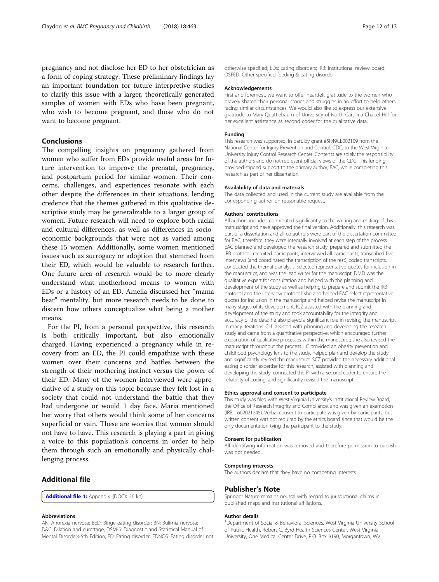<span id="page-11-0"></span>pregnancy and not disclose her ED to her obstetrician as a form of coping strategy. These preliminary findings lay an important foundation for future interpretive studies to clarify this issue with a larger, theoretically generated samples of women with EDs who have been pregnant, who wish to become pregnant, and those who do not want to become pregnant.

## Conclusions

The compelling insights on pregnancy gathered from women who suffer from EDs provide useful areas for future intervention to improve the prenatal, pregnancy, and postpartum period for similar women. Their concerns, challenges, and experiences resonate with each other despite the differences in their situations, lending credence that the themes gathered in this qualitative descriptive study may be generalizable to a larger group of women. Future research will need to explore both racial and cultural differences, as well as differences in socioeconomic backgrounds that were not as varied among these 15 women. Additionally, some women mentioned issues such as surrogacy or adoption that stemmed from their ED, which would be valuable to research further. One future area of research would be to more clearly understand what motherhood means to women with EDs or a history of an ED. Amelia discussed her "mama bear" mentality, but more research needs to be done to discern how others conceptualize what being a mother means.

For the PI, from a personal perspective, this research is both critically important, but also emotionally charged. Having experienced a pregnancy while in recovery from an ED, the PI could empathize with these women over their concerns and battles between the strength of their mothering instinct versus the power of their ED. Many of the women interviewed were appreciative of a study on this topic because they felt lost in a society that could not understand the battle that they had undergone or would 1 day face. Maria mentioned her worry that others would think some of her concerns superficial or vain. These are worries that women should not have to have. This research is playing a part in giving a voice to this population's concerns in order to help them through such an emotionally and physically challenging process.

## Additional file

[Additional file 1:](https://doi.org/10.1186/s12884-018-2105-6) Appendix. (DOCX 26 kb)

#### Abbreviations

AN: Anorexia nervosa; BED: Binge eating disorder; BN: Bulimia nervosa; D&C: Dilation and curettage; DSM-5: Diagnostic and Statistical Manual of Mental Disorders-5th Edition; ED: Eating disorder; EDNOS: Eating disorder not otherwise specified; EDs: Eating disorders; IRB: Institutional review board; OSFED: Other specified feeding & eating disorder

#### Acknowledgements

First and foremost, we want to offer heartfelt gratitude to the women who bravely shared their personal stories and struggles in an effort to help others facing similar circumstances. We would also like to express our extensive gratitude to Mary Quattlebaum of University of North Carolina Chapel Hill for her excellent assistance as second coder for the qualitative data.

#### Funding

This research was supported, in part, by grant #5R49CE002109 from the National Center for Injury Prevention and Control, CDC, to the West Virginia University Injury Control Research Center. Contents are solely the responsibility of the authors and do not represent official views of the CDC. This funding provided stipend support to the primary author, EAC, while completing this research as part of her dissertation.

#### Availability of data and materials

The data collected and used in the current study are available from the corresponding author on reasonable request.

#### Authors' contributions

All authors included contributed significantly to the writing and editing of this manuscript and have approved the final version. Additionally, this research was part of a dissertation and all co-authors were part of the dissertation committee for EAC; therefore, they were integrally involved at each step of the process. EAC planned and developed the research study, prepared and submitted the IRB protocol, recruited participants, interviewed all participants, transcribed five interviews (and coordinated the transcription of the rest), coded transcripts, conducted the thematic analysis, selected representative quotes for inclusion in the manuscript, and was the lead writer for the manuscript. DMD was the qualitative expert for consultation and helped with the planning and development of the study as well as helping to prepare and submit the IRB protocol and the interview protocol; she also helped EAC select representative quotes for inclusion in the manuscript and helped revise the manuscript in many stages of its development. KJZ assisted with the planning and development of the study and took accountability for the integrity and accuracy of the data; he also played a significant role in revising the manuscript in many iterations. CLL assisted with planning and developing the research study and came from a quantitative perspective, which encouraged further explanation of qualitative processes within the manuscript; she also revised the manuscript throughout the process. LC provided an obesity prevention and childhood psychology lens to the study, helped plan and develop the study, and significantly revised the manuscript. SCZ provided the necessary additional eating disorder expertise for this research, assisted with planning and developing the study, connected the PI with a second-coder to ensure the reliability of coding, and significantly revised the manuscript.

#### Ethics approval and consent to participate

This study was filed with West Virginia University's Institutional Review Board, the Office of Research Integrity and Compliance, and was given an exemption (IRB: 1602021245). Verbal consent to participate was given by participants, but written consent was not required by the ethics board since that would be the only documentation tying the participant to the study.

#### Consent for publication

All identifying information was removed and therefore permission to publish was not needed.

#### Competing interests

The authors declare that they have no competing interests.

#### Publisher's Note

Springer Nature remains neutral with regard to jurisdictional claims in published maps and institutional affiliations.

#### Author details

<sup>1</sup>Department of Social & Behavioral Sciences, West Virginia University School of Public Health, Robert C. Byrd Health Sciences Center, West Virginia University, One Medical Center Drive, P.O. Box 9190, Morgantown, WV